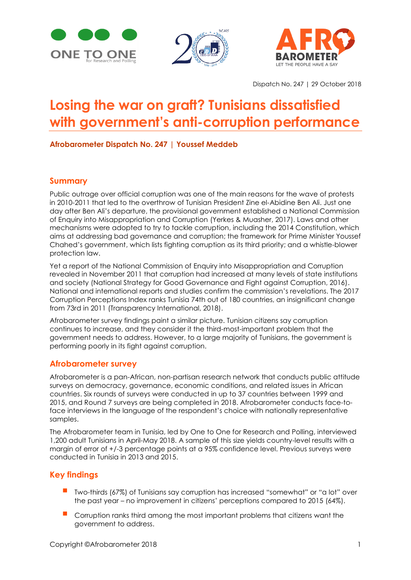





Dispatch No. 247 | 29 October 2018

# **Losing the war on graft? Tunisians dissatisfied with government's anti-corruption performance**

**Afrobarometer Dispatch No. 247 | Youssef Meddeb**

#### **Summary**

Public outrage over official corruption was one of the main reasons for the wave of protests in 2010-2011 that led to the overthrow of Tunisian President Zine el-Abidine Ben Ali. Just one day after Ben Ali's departure, the provisional government established a National Commission of Enquiry into Misappropriation and Corruption (Yerkes & Muasher, 2017). Laws and other mechanisms were adopted to try to tackle corruption, including the 2014 Constitution, which aims at addressing bad governance and corruption; the framework for Prime Minister Youssef Chahed's government, which lists fighting corruption as its third priority; and a whistle-blower protection law.

Yet a report of the National Commission of Enquiry into Misappropriation and Corruption revealed in November 2011 that corruption had increased at many levels of state institutions and society (National Strategy for Good Governance and Fight against Corruption, 2016). National and international reports and studies confirm the commission's revelations. The 2017 Corruption Perceptions Index ranks Tunisia 74th out of 180 countries, an insignificant change from 73rd in 2011 (Transparency International, 2018).

Afrobarometer survey findings paint a similar picture. Tunisian citizens say corruption continues to increase, and they consider it the third-most-important problem that the government needs to address. However, to a large majority of Tunisians, the government is performing poorly in its fight against corruption.

#### **Afrobarometer survey**

Afrobarometer is a pan-African, non-partisan research network that conducts public attitude surveys on democracy, governance, economic conditions, and related issues in African countries. Six rounds of surveys were conducted in up to 37 countries between 1999 and 2015, and Round 7 surveys are being completed in 2018. Afrobarometer conducts face-toface interviews in the language of the respondent's choice with nationally representative samples.

The Afrobarometer team in Tunisia, led by One to One for Research and Polling, interviewed 1,200 adult Tunisians in April-May 2018. A sample of this size yields country-level results with a margin of error of +/-3 percentage points at a 95% confidence level. Previous surveys were conducted in Tunisia in 2013 and 2015.

#### **Key findings**

- Two-thirds (67%) of Tunisians say corruption has increased "somewhat" or "a lot" over the past year – no improvement in citizens' perceptions compared to 2015 (64%).
- Corruption ranks third among the most important problems that citizens want the government to address.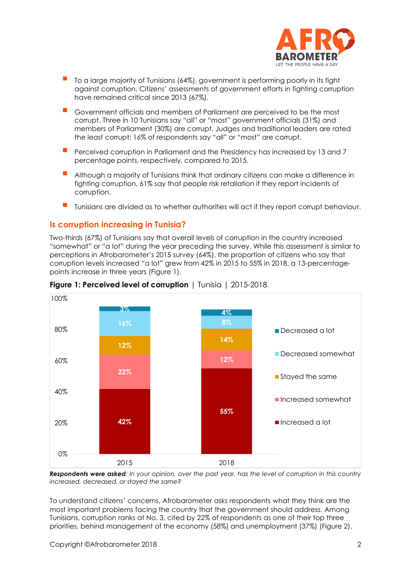

- To a large majority of Tunisians (64%), government is performing poorly in its fight against corruption. Citizens' assessments of government efforts in fighting corruption have remained critical since 2013 (67%).
- Government officials and members of Parliament are perceived to be the most corrupt. Three in 10 Tunisians say "all" or "most" government officials (31%) and members of Parliament (30%) are corrupt. Judges and traditional leaders are rated the least corrupt; 16% of respondents say "all" or "most" are corrupt.
- Perceived corruption in Parliament and the Presidency has increased by 13 and 7 percentage points, respectively, compared to 2015.
- Although a majority of Tunisians think that ordinary citizens can make a difference in fighting corruption, 61% say that people risk retaliation if they report incidents of corruption.
- Tunisians are divided as to whether authorities will act if they report corrupt behaviour.

#### **Is corruption increasing in Tunisia?**

Two-thirds (67%) of Tunisians say that overall levels of corruption in the country increased "somewhat" or "a lot" during the year preceding the survey. While this assessment is similar to perceptions in Afrobarometer's 2015 survey (64%), the proportion of citizens who say that corruption levels increased "a lot" grew from 42% in 2015 to 55% in 2018, a 13-percentagepoints increase in three years (Figure 1).



**Figure 1: Perceived level of corruption** | Tunisia | 2015-2018

*Respondents were asked: In your opinion, over the past year, has the level of corruption in this country increased, decreased, or stayed the same?* 

To understand citizens' concerns, Afrobarometer asks respondents what they think are the most important problems facing the country that the government should address. Among Tunisians, corruption ranks at No. 3, cited by 22% of respondents as one of their top three priorities, behind management of the economy (58%) and unemployment (37%) (Figure 2).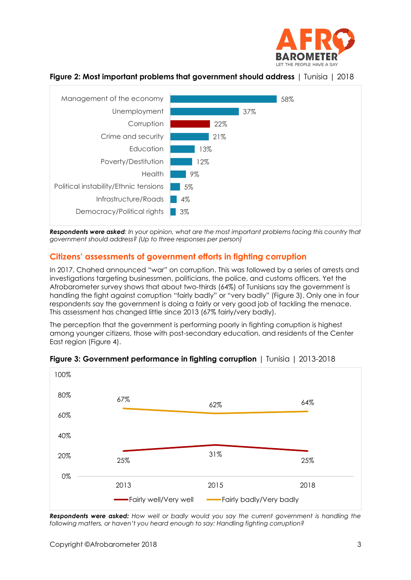





*Respondents were asked: In your opinion, what are the most important problems facing this country that government should address? (Up to three responses per person)*

#### **Citizens' assessments of government efforts in fighting corruption**

In 2017, Chahed announced "war" on corruption. This was followed by a series of arrests and investigations targeting businessmen, politicians, the police, and customs officers. Yet the Afrobarometer survey shows that about two-thirds (64%) of Tunisians say the government is handling the fight against corruption "fairly badly" or "very badly" (Figure 3). Only one in four respondents say the government is doing a fairly or very good job of tackling the menace. This assessment has changed little since 2013 (67% fairly/very badly).

The perception that the government is performing poorly in fighting corruption is highest among younger citizens, those with post-secondary education, and residents of the Center East region (Figure 4).



#### **Figure 3: Government performance in fighting corruption** | Tunisia | 2013-2018

*Respondents were asked: How well or badly would you say the current government is handling the following matters, or haven't you heard enough to say: Handling fighting corruption?*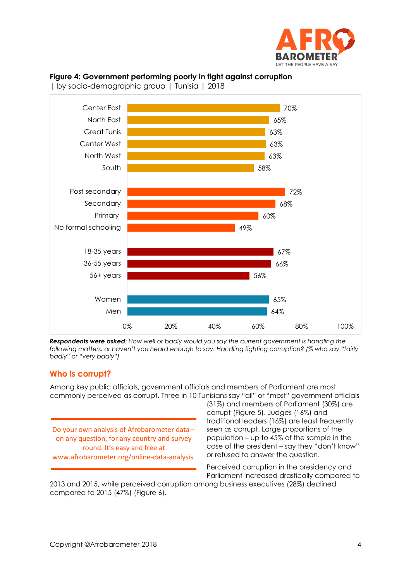

### **Figure 4: Government performing poorly in fight against corruption**



| by socio-demographic group | Tunisia | 2018

*Respondents were asked: How well or badly would you say the current government is handling the following matters, or haven't you heard enough to say: Handling fighting corruption? (% who say "fairly badly" or "very badly")*

#### **Who is corrupt?**

Among key public officials, government officials and members of Parliament are most commonly perceived as corrupt. Three in 10 Tunisians say "all" or "most" government officials

Do your own analysis of Afrobarometer data – on any question, for any country and survey round. It's easy and free at www.afrobarometer.org/online-data-analysis.

(31%) and members of Parliament (30%) are corrupt (Figure 5). Judges (16%) and traditional leaders (16%) are least frequently seen as corrupt. Large proportions of the population – up to 45% of the sample in the case of the president – say they "don't know" or refused to answer the question.

Perceived corruption in the presidency and Parliament increased drastically compared to

2013 and 2015, while perceived corruption among business executives (28%) declined compared to 2015 (47%) (Figure 6).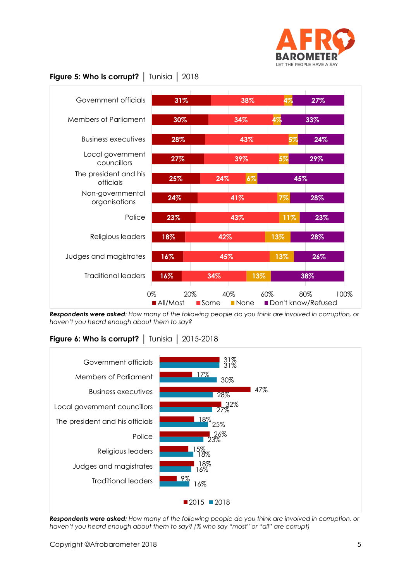



*Respondents were asked: How many of the following people do you think are involved in corruption, or haven't you heard enough about them to say?*

## **Figure 6: Who is corrupt?** │ Tunisia │ 2015-2018



*Respondents were asked: How many of the following people do you think are involved in corruption, or haven't you heard enough about them to say? (% who say "most" or "all" are corrupt)*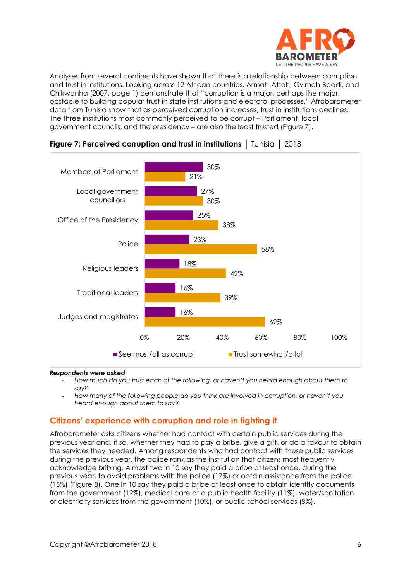

Analyses from several continents have shown that there is a relationship between corruption and trust in institutions. Looking across 12 African countries, Armah-Attoh, Gyimah-Boadi, and Chikwanha (2007, page 1) demonstrate that "corruption is a major, perhaps the major, obstacle to building popular trust in state institutions and electoral processes." Afrobarometer data from Tunisia show that as perceived corruption increases, trust in institutions declines. The three institutions most commonly perceived to be corrupt – Parliament, local government councils, and the presidency – are also the least trusted (Figure 7).





#### *Respondents were asked:*

- *How much do you trust each of the following, or haven't you heard enough about them to say?*
- *How many of the following people do you think are involved in corruption, or haven't you heard enough about them to say?*

#### **Citizens' experience with corruption and role in fighting it**

Afrobarometer asks citizens whether had contact with certain public services during the previous year and, if so, whether they had to pay a bribe, give a gift, or do a favour to obtain the services they needed. Among respondents who had contact with these public services during the previous year, the police rank as the institution that citizens most frequently acknowledge bribing. Almost two in 10 say they paid a bribe at least once, during the previous year, to avoid problems with the police (17%) or obtain assistance from the police (15%) (Figure 8). One in 10 say they paid a bribe at least once to obtain identity documents from the government (12%), medical care at a public health facility (11%), water/sanitation or electricity services from the government (10%), or public-school services (8%).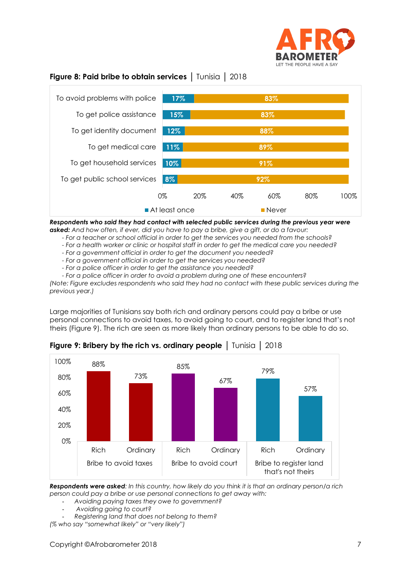

#### **Figure 8: Paid bribe to obtain services** │ Tunisia │ 2018



*Respondents who said they had contact with selected public services during the previous year were asked: And how often, if ever, did you have to pay a bribe, give a gift, or do a favour:*

- *- For a teacher or school official in order to get the services you needed from the schools?*
- *- For a health worker or clinic or hospital staff in order to get the medical care you needed?*
- *- For a government official in order to get the document you needed?*
- *- For a government official in order to get the services you needed?*
- *- For a police officer in order to get the assistance you needed?*
- *- For a police officer in order to avoid a problem during one of these encounters?*

*(Note: Figure excludes respondents who said they had no contact with these public services during the previous year.)*

Large majorities of Tunisians say both rich and ordinary persons could pay a bribe or use personal connections to avoid taxes, to avoid going to court, and to register land that's not theirs (Figure 9). The rich are seen as more likely than ordinary persons to be able to do so.



**Figure 9: Bribery by the rich vs. ordinary people** | Tunisia | 2018

*Respondents were asked: In this country, how likely do you think it is that an ordinary person/a rich person could pay a bribe or use personal connections to get away with:*

- *Avoiding paying taxes they owe to government?*
- *Avoiding going to court?*
- *Registering land that does not belong to them?*

*(% who say "somewhat likely" or "very likely")*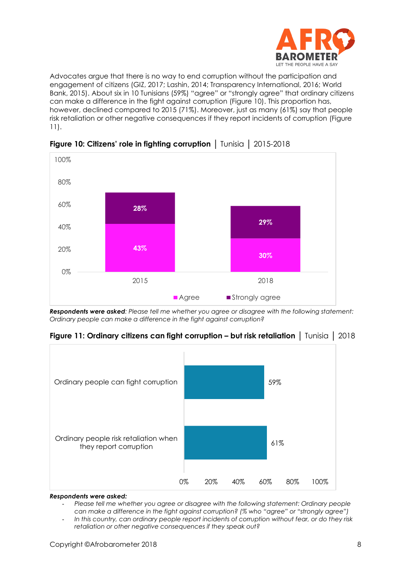

Advocates argue that there is no way to end corruption without the participation and engagement of citizens (GIZ, 2017; Lashin, 2014; Transparency International, 2016; World Bank, 2015). About six in 10 Tunisians (59%) "agree" or "strongly agree" that ordinary citizens can make a difference in the fight against corruption (Figure 10). This proportion has, however, declined compared to 2015 (71%). Moreover, just as many (61%) say that people risk retaliation or other negative consequences if they report incidents of corruption (Figure 11).



**Figure 10: Citizens' role in fighting corruption** │ Tunisia │ 2015-2018

*Respondents were asked: Please tell me whether you agree or disagree with the following statement: Ordinary people can make a difference in the fight against corruption?*





*Respondents were asked:*

- *Please tell me whether you agree or disagree with the following statement: Ordinary people can make a difference in the fight against corruption? (% who "agree" or "strongly agree")*
- *In this country, can ordinary people report incidents of corruption without fear, or do they risk retaliation or other negative consequences if they speak out?*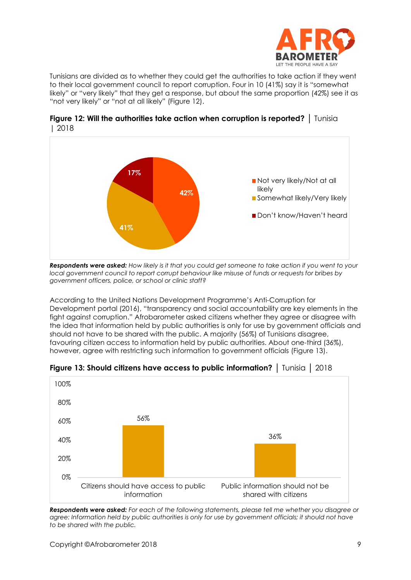

Tunisians are divided as to whether they could get the authorities to take action if they went to their local government council to report corruption. Four in 10 (41%) say it is "somewhat likely" or "very likely" that they get a response, but about the same proportion (42%) see it as "not very likely" or "not at all likely" (Figure 12).



**Figure 12: Will the authorities take action when corruption is reported?** │ Tunisia | 2018

*Respondents were asked: How likely is it that you could get someone to take action if you went to your local government council to report corrupt behaviour like misuse of funds or requests for bribes by government officers, police, or school or clinic staff?*

According to the United Nations Development Programme's Anti-Corruption for Development portal (2016), "transparency and social accountability are key elements in the fight against corruption." Afrobarometer asked citizens whether they agree or disagree with the idea that information held by public authorities is only for use by government officials and should not have to be shared with the public. A majority (56%) of Tunisians disagree, favouring citizen access to information held by public authorities. About one-third (36%), however, agree with restricting such information to government officials (Figure 13).



**Figure 13: Should citizens have access to public information?** │ Tunisia │ 2018

*Respondents were asked: For each of the following statements, please tell me whether you disagree or agree: Information held by public authorities is only for use by government officials; it should not have to be shared with the public.*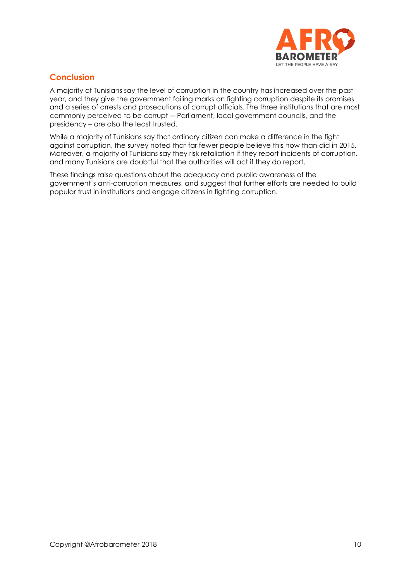

## **Conclusion**

A majority of Tunisians say the level of corruption in the country has increased over the past year, and they give the government failing marks on fighting corruption despite its promises and a series of arrests and prosecutions of corrupt officials. The three institutions that are most commonly perceived to be corrupt ― Parliament, local government councils, and the presidency – are also the least trusted.

While a majority of Tunisians say that ordinary citizen can make a difference in the fight against corruption, the survey noted that far fewer people believe this now than did in 2015. Moreover, a majority of Tunisians say they risk retaliation if they report incidents of corruption, and many Tunisians are doubtful that the authorities will act if they do report.

These findings raise questions about the adequacy and public awareness of the government's anti-corruption measures, and suggest that further efforts are needed to build popular trust in institutions and engage citizens in fighting corruption.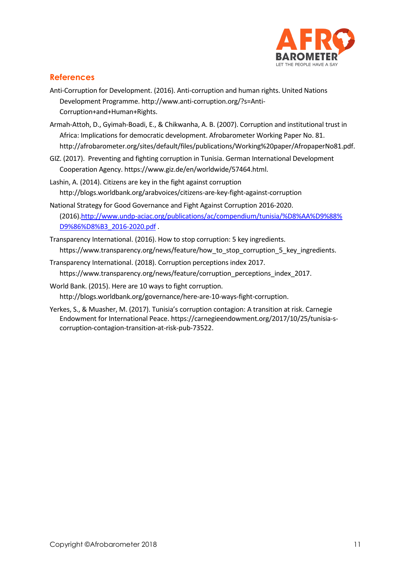

#### **References**

- Anti-Corruption for Development. (2016). Anti-corruption and human rights. United Nations Development Programme. [http://www.anti-corruption.org/?s=Anti-](http://www.anti-corruption.org/?s=Anti-Corruption+and+Human+Rights)[Corruption+and+Human+Rights.](http://www.anti-corruption.org/?s=Anti-Corruption+and+Human+Rights)
- Armah-Attoh, D., Gyimah-Boadi, E., & Chikwanha, A. B. (2007). Corruption and institutional trust in Africa: Implications for democratic development. Afrobarometer Working Paper No. 81. http://afrobarometer.org/sites/default/files/publications/Working%20paper/AfropaperNo81.pdf.
- GIZ. (2017). Preventing and fighting corruption in Tunisia. German International Development Cooperation Agency. [https://www.giz.de/en/worldwide/57464.html.](https://www.giz.de/en/worldwide/57464.html)
- Lashin, A. (2014). Citizens are key in the fight against corruption http://blogs.worldbank.org/arabvoices/citizens-are-key-fight-against-corruption
- National Strategy for Good Governance and Fight Against Corruption 2016-2020. (2016)[.http://www.undp-aciac.org/publications/ac/compendium/tunisia/%D8%AA%D9%88%](http://www.undp-aciac.org/publications/ac/compendium/tunisia/%D8%AA%D9%88%25%20D9%86%D8%B3_2016-2020.pdf)  [D9%86%D8%B3\\_2016-2020.pdf](http://www.undp-aciac.org/publications/ac/compendium/tunisia/%D8%AA%D9%88%25%20D9%86%D8%B3_2016-2020.pdf) .
- Transparency International. (2016). How to stop corruption: 5 key ingredients. https://www.transparency.org/news/feature/how to stop corruption 5 key ingredients.
- Transparency International. (2018). Corruption perceptions index 2017. https://www.transparency.org/news/feature/corruption\_perceptions\_index\_2017.
- World Bank. (2015). Here are 10 ways to fight corruption. http://blogs.worldbank.org/governance/here-are-10-ways-fight-corruption.
- Yerkes, S., & Muasher, M. (2017). Tunisia's corruption contagion: A transition at risk. Carnegie Endowment for International Peace. https://carnegieendowment.org/2017/10/25/tunisia-scorruption-contagion-transition-at-risk-pub-73522.